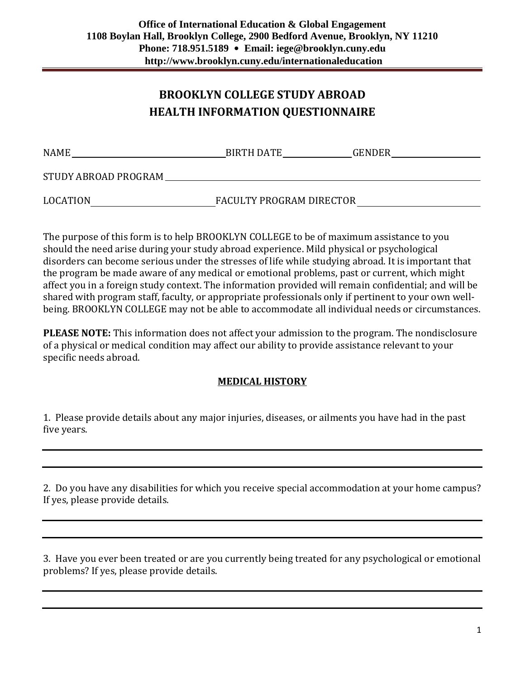## **BROOKLYN COLLEGE STUDY ABROAD HEALTH INFORMATION QUESTIONNAIRE**

| <b>NAME</b>          | <b>BIRTH DATE</b>        | <b>GENDER</b> |
|----------------------|--------------------------|---------------|
| STUDY ABROAD PROGRAM |                          |               |
| <b>LOCATION</b>      | FACULTY PROGRAM DIRECTOR |               |

The purpose of this form is to help BROOKLYN COLLEGE to be of maximum assistance to you should the need arise during your study abroad experience. Mild physical or psychological disorders can become serious under the stresses of life while studying abroad. It is important that the program be made aware of any medical or emotional problems, past or current, which might affect you in a foreign study context. The information provided will remain confidential; and will be shared with program staff, faculty, or appropriate professionals only if pertinent to your own wellbeing. BROOKLYN COLLEGE may not be able to accommodate all individual needs or circumstances.

**PLEASE NOTE:** This information does not affect your admission to the program. The nondisclosure of a physical or medical condition may affect our ability to provide assistance relevant to your specific needs abroad.

## **MEDICAL HISTORY**

1. Please provide details about any major injuries, diseases, or ailments you have had in the past five years.

2. Do you have any disabilities for which you receive special accommodation at your home campus? If yes, please provide details.

3. Have you ever been treated or are you currently being treated for any psychological or emotional problems? If yes, please provide details.